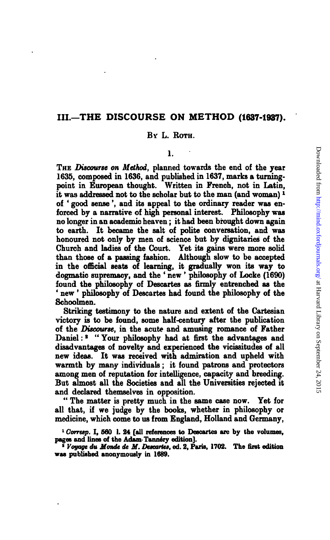## **III.—THE DISCOURSE ON METHOD (1637-1987).**

## BY L. ROTH.

## 1.

THE *Discourse on Method,* planned towards the end of the year 1635, composed in 1636, and published in 1637, marks a turningpoint in European thought. Written in French, not in Latin, it was addressed not to the scholar but to the man (and woman)<sup>1</sup> of ' good sense', and its appeal to the ordinary reader was enforced by a narrative of high personal interest. Philosophy was no longer in an academic heaven; it had been brought down again to earth. It became the salt of polite conversation, and was honoured not only by men of science but by dignitaries of the Church and ladies of the Court. Yet its gains were more solid than those of a passing fashion. Although slow to be accepted in the official seats of learning, it gradually won its way to dogmatic supremacy, and the ' new ' philosophy of Locke (1690) found the philosophy of Descartes as firmly entrenched as the ' new ' philosophy of Descartes had found the philosophy of the Schoolmen.

Striking testimony to the nature and extent of the Cartesian victory is to be found, some half-century after the publication of the *Discourse,* in the acute and amusing romance of Father Daniel:<sup>2</sup> "Your philosophy had at first the advantages and disadvantages of novelty and experienced the vicissitudes of all new ideas. It was received with admiration and upheld with warmth by many individuals; it found patrons and protectors among men of reputation for intelligence, capacity and breeding. But almost all the Societies and all the Universities rejected it and declared themselves in opposition.

" The matter is pretty much in the same case now. Yet for all that, if we judge by the books, whether in philosophy or medicine, which come to us from England, Holland and Germany,

<sup>1</sup> Corresp. I, 560 1. 24 [all references to Descartes are by the volumes, **pages and lines of the Adam-Tannery edition].**

<sup>2</sup> *Voyage du Monde de M. Descartes*, ed. 2, Paris, 1702. The first edition **was published anonymously in 1689.**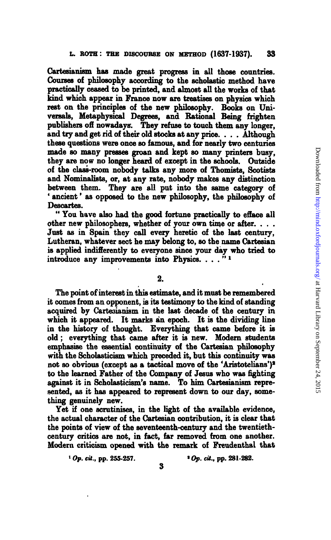**Cartesianism has made great progress in all those countries. Courses of philosophy according to the scholastic method have practically ceased to be printed, and almost all the works of that kind which appear in France now are treatises on physics which** rest on the principles of the new philosophy. Books on Uni**versals, Metaphysical Degrees, and Rational Being frighten publishers off nowadays<sup>1</sup> . They refuse to touch them any longer, and try and get rid of their old stocks at any price. . . . Although these questions were once so famous, and for nearly two centuries made so many presses groan and kept so many printers busy, they are now no longer heard of except in the schools. Outside of the class-room nobody talks any more of Thomists, Scotists and Nominalists, or, at any rate, nobody makes any distinction between them. They are all put into the same category of ' ancient' as opposed to the new philosophy, the philosophy of Descartes.**

**" You have also had the good fortune practically to efface all other new philosophers, whether of your own time or after. . . . Just as in Spain they call every heretic of the last century, Lutheran, whatever sect he may belong to, so the name Cartesian is applied indifferently to everyone since your day who tried to introduce any improvements into Physics.** *. . ."<sup>l</sup>*

## **2.**

**The point of interest in this estimate, and it must be remembered it comes from an opponent, is its testimony to the kind of standing acquired by Carteaianism in the last decade of the century in which it appeared. It marks an epoch. It is the dividing line in the history of thought. Everything that came before it is old; everything that came after it is new. Modern students emphasise the essential continuity of the Cartesian philosophy with the Scholasticism which preceded it, but this continuity was not so obvious (except as a tactical move of the 'Aristotelians')<sup>1</sup> to the learned Father of the Company of Jesus who was fighting against it in Scholasticism's name. To him Cartesianism represented, as it has appeared to represent down to our day, something genuinely new.**

**Yet if one scrutinises, in the light of the available evidence, the actual character of the Cartesian contribution, it is clear that the points of view of the seventeenth-century and the twentiethcentury critics are not, in fact, far removed from one another. Modern criticism opened with the remark of Freudenthal that**

**3**

<sup>&</sup>lt;sup>1</sup> Op. cit., pp. 255-257.

*Op. eit.,* **pp. 255-257. '** *Op. at.,* **pp. 281-282.**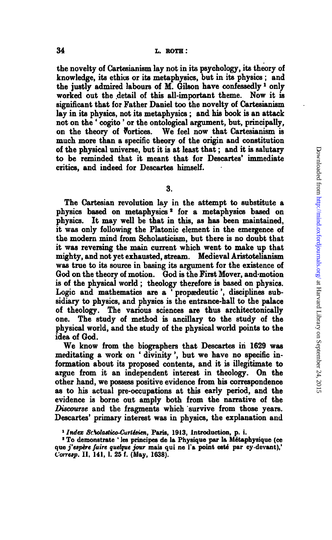**the novelty of Cartesianism lay not in its psychology, its theory of knowledge, its ethics or its metaphysics, but in its physics ; and the justly admired labours of M. Gilson have confessedly<sup>1</sup> only** worked out the detail of this all-important theme. Now it is **significant that for Father Daniel too the novelty of Cartesianism lay in its physics, not its metaphysics ; and his book is an attack not on the ' cogito ' or the ontological argument, but, principally, on the theory of Vortices. We feel now that Cartesianism is much more than a specific theory of the origin and constitution of the physical universe, but it is at least that; and it is salutary to be reminded that it meant that for Descartes' immediate critics, and indeed for Descartes himself.**

**3.**

**The Cartesian revolution lay in the attempt to substitute a physics based on metaphysics' for a metaphysics based on physics. It may well be that in this, as has been maintained, it was only following the Platonic element in the emergence of the modern mind from Scholasticism, but there is no doubt that it was reversing the main current which went to make up that mighty, and not yet exhausted, stream. Medieval Aristotelianism was true to its source in basing its argument for the existence of God on the theory of motion. God is the First Mover, and-motion is of the physical world ; theology therefore is based on physics.** Logic and mathematics are a propaedeutic', disciplines sub**sidiary to physics, and physics is the entrance-hall to the palace of theology. The various sciences are thus architectonically one. The study of method is ancillary to the study of the physical world, and the study of the physical world points to the idea of God.**

**We know from the biographers that Descartes in 1629 was meditating a work on ' divinity', but we have no specific information about its proposed contents, and it is illegitimate to argue from it an independent interest in theology. On the other hand, we possess positive evidence from his correspondence as to his actual pre-occupations at this early period, and the evidence is borne out amply both from the narrative of the** *Discourse* **and the fragments which survive from those years. Descartes' primary interest was in physics, the explanation and**

**<sup>1</sup>**  *Index ScholasticoCarliaien,* **Paris, 1913, Introduction, p. i.**

**<sup>\*</sup> To demonstrate ' les principes de la Physique par la Meiaphysique (ce que** *j'espere fain quelque jour* **mais qui ne I'a point este par cy-devant),'** *Conetp.* **II, 141, 1. 25 f. (May, 1638).**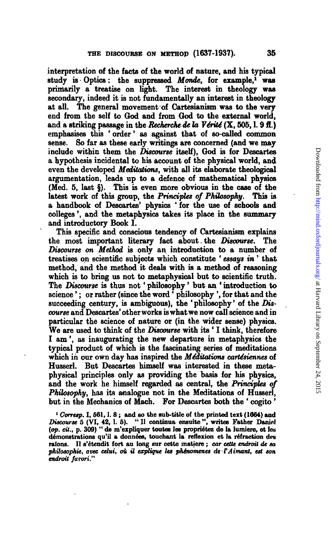interpretation of the facts of the world of nature, and his typical study is Optics: the suppressed *Monde*, for example,<sup>i</sup> was primarily a treatise on light. The interest in theology was secondary, indeed it is not fundamentally an interest in theology at all. The general movement of Cartesianism was to the very end from the self to God and from God to the external world, and a striking passage in the *Recherche de la Vérité* (X, 505, l. 9 ft.) emphasises this ' order' as against that of so-called common sense. So far as these early writings are concerned (and we may include within them the *Discourse* itself), God is for Descartes a hypothesis incidental to his account of the physical world, and even the developed *Meditations,* with all its elaborate theological argumentation, leads up to a defence of mathematical physics (Med. 5, last §). This is even more obvious in the case of the latest work of this group, the *Principles of Philosophy.* This is a handbook of Descartes' physics ' for the use of schools and colleges', and the metaphysics takes its place in the summary and introductory Book I.

This specific and conscious tendency of Cartesianism explains the most important literary fact about. the *Discourse.* The *Discourse on Method* is only an introduction to a number of treatises on scientific subjects which constitute ' *essays in* ' that method, and the method it deals with is a method of reasoning which is to bring us not to metaphysical but to scientific truth. The *Discourse* is thus not' philosophy' but an ' introduction to science'; or rather (since the word' philosophy ', for that and the succeeding century, is ambiguous), the ' philosophy' of the *Discourse* and Descartes'other works iswhatwe now call science and in particular the science of nature or (in the wider sense) physics. We are used to think of the *Discourse* with its ' I think, therefore I am', as inaugurating the new departure in metaphysics the typical product of which is the fascinating series of meditations which in our own day has inspired the *Méditations cartésiennes* of Husserl. But Descartes himself was interested in these metaphysical principles only as providing the basis for his physics, and the work he himself regarded as central, the *Principles of Philosophy,* has its analogue not in the Meditations of Husserl, but in the Mechanics of Mach. For Descartes both the ' cogito '

<sup>&</sup>lt;sup>1</sup> Corresp. I, 561, l. 8; and so the sub-title of the printed text (1664) and *Discourse* 5 (VI, 42, 1. 5). " 11 continua ensuite ", writes Father Daniel (*op. cit.*, p. 309) " de m'expliquer toutes les propriétez de la lumiere, et les démonstrations qu'il a données, touchant la reflexion et la réfraction des raions. II s'etendit fort an long sur cette matiere ; *ear eette endroit de sa philosophic, avec celui, ok U explique les phtnamenes de TAimanl, est son endroit favori."*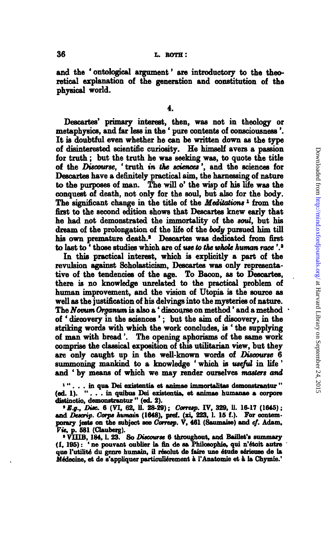**and the ' ontological argument' are introductory to the theoretical explanation of the generation and constitution of the physical world.**

**4.**

**Descartes' primary interest, then, was not in theology or metaphysics, and far less in the' pure contents of consciousness'. It is doubtful even whether he can be written down as the type of disinterested scientific curiosity. He himself avers a passion for truth ; but the truth he was seeking was, to quote the title of the** *Discourse, '* **truth** *in the sciences',* **and the sciences for Descartes have a definitely practical aim, the harnessing of nature to the purposes of man. The will o' the wisp of his life was the conquest of death, not only for the soul, but also for the body. The significant change in the title of the** *Meditations<sup>1</sup>*  **from the first to the second edition shows that Descartes knew early that he had not demonstrated the immortality of the** *soul,* **but his dream of the prolongation of the life of the** *body* **pursued him till his own premature death.<sup>2</sup> Descartes was dedicated from first to last to ' those studies which are of** *use to the whole human race***'.'**

**In this practical interest, which is explicitly a part of the revulsion against Scholasticism, Descartes was only representative of the tendencies of the age. To Bacon, as to Descartes, there is no knowledge unrelated to the practical problem of human improvement, and the vision of Utopia is the source as well as the justification of his delvings into the mysteries of nature. The** *Novutn Organum* **is also a' discourse on method' and a method of ' discovery in the sciences'; but the aim of discovery, in the striking words with which the work concludes, is ' the supplying of man with bread'. The opening aphorisms of the same work comprise the classical exposition of this utilitarian view, but they are only caught up in the well-known words of** *Discourse* **6 summoning mankind to a knowledge ' which is** *useful* **in life' and ' by means of which we may render ourselves** *masters and*

<sup>1</sup> " . . . in qua Dei existentia et animae immortalitas demonstrantur " **(ed. 1). ".. . in quibua Dei existentia, et animae kumanae a corpora** distinctio, demonstrantur " (ed. 2).

*\*E.g., Disc* **6 (VI, 62, U. 28-29);** *Corresp.* **IV, 329, U. 16-17 (1645); and** *Deacrip. Corps humain* **(1648), pref. (xi, 223, 1. 15 f.). For contemporary jeste on the subject see** *Corresp.* **V, 461 (Saumaise) and** *ef.* **Adam,** *Vie,* **p. 581 (Clauberg).**

**> VIIIB, 184,1. 23. So** *Discourse* **6 throughout, and Baulet'a summary (I, 195): ' ne pouvant oublier la fin de sa Philosophic, qui n'dtoh, autre que l'utilite du genre humain, il resolut de faire une etude serieuse de la Medecine, et de s'appliquer particulierement a TAnatomie et a la Chymie.'**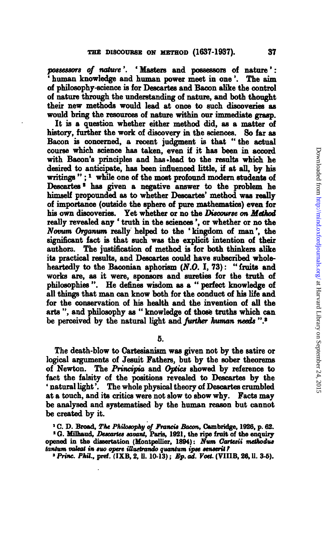*possessors of nature'. '* **Masters and possessors of nature ' : ' human knowledge and human power meet in one'. The aim of philosophy-science is for Descartes and Bacon alike the control of nature through the understanding of nature, and both thought their new methods would lead at once to such discoveries as would bring the resources of nature within our immediate grasp.**

**It is a question whether either method did, as a matter of history, further the work of discovery in the sciences. So far as Bacon is concerned, a recent judgment is that " the actual course which science has taken, even if it has been in accord with Bacon's principles and has»lead to the results which he desired to anticipate, has been influenced little, if at all, by his writings " ; <sup>1</sup> while one of the most profound modern students of Descartes\* has given a negative answer to the problem he himself propounded as to whether Descartes' method was really of importance (outside the sphere of pure mathematics) even for his own discoveries. Tet whether or no the** *Discourse on Method* **really revealed any ' truth in the sciences', or whether or no the** *Novum Organum* **really helped to the ' kingdom of man', the significant fact is that such was the explicit intention of their authors. The justification of method is for both thinkers alike its practical results, and Descartes could have subscribed wholeheartedly to the Baconian aphorism** *{N.O.* **I, 73): " fruits and works are, as it were, sponsors and sureties for the truth of philosophies ". He defines wisdom as a " perfect knowledge of all things that man can know both for the conduct of his life and for the conservation of his health and the invention of all the arts ", and philosophy as " knowledge of those truths which can be perceived by the natural light** *and further human needs ".\**

**5.**

**The death-blow to Gartesianism was given not by the satire or logical arguments of Jesuit Fathers, but by the sober theorems of Newton. The** *Principia* **and** *Optics* **showed by reference to fact the falsity of the positions revealed to Descartes by the ' natural light'. The whole physical theory of Descartes crumbled at a touch, and its critics were not slow to show why. Facts may be analysed and systematised by the human reason but cannot be created by it.**

<sup>1</sup> C. D. Broad, *The Philosophy of Francis Bacon*, Cambridge, 1926, p. 62. **\* G. Milhaud,** *Descartes savant,* **Paris, 1921, the ripe fruit of the enquiry opened in the dissertation (Hontpellier, 1894):** *Num Gartesii methodus tantum vaUat in suo opere iUuttrando quantum ipst senserit f*

**'** *Prine. PhU.,* **pref. (IXB, 2, U. 10-13);** *Ep. ad. Voet.* **(VIIIB, 26, U. 3-6).**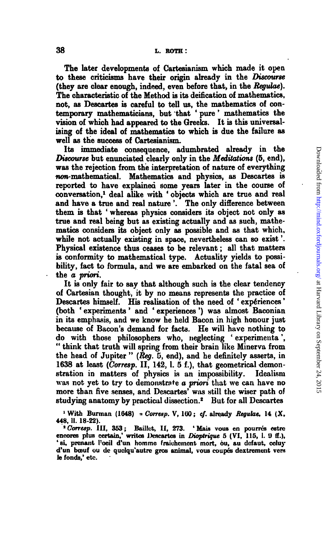**The later developments of Cartesianism which made it open to these criticisms have their origin already in the** *Discourse* **(they are clear enough, indeed, even before that, in the** *Regvlae).* **The characteristic of the Method is its deification of mathematics, not, as Descartes is careful to tell us, the mathematics of contemporary mathematicians, but that ' pure' mathematics the vision of which had appeared to the Greeks. It is this universalising of the ideal of mathematics to which is due the failure as well as the success of Cartesianism.**

**Its immediate consequence, adumbrated already in the** *Discourse* **but enunciated clearly only in the** *Meditations* **(5, end), was the rejection from the interpretation of nature of everything non-mathematical. Mathematics and physics, as Descartes is reported to have explained some years later in the course of conversation,<sup>1</sup> deal alike with ' objects which are true and real and have a true and real nature '. The only difference between them is that ' whereas physics considers its object not only as true and real being but as existing actually and as such, mathematics considers its object only as possible and as that which, while not actually existing in space, nevertheless can so exist'. Physical existence thus ceases to be relevant; all that matters is conformity to mathematical type. Actuality yields to possibility, fact to formula, and we are embarked on the fatal sea of the a** *priori.*

**It is only fair to say that although such is the clear tendency of Cartesian thought, it by no means represents the practice of Descartes himself. His realisation of the need of ' experiences' (both ' experiments ' and ' experiences ') was almost Baconian in its emphasis, and we know he held Bacon in high honour just because of Bacon's demand for facte. He will have nothing to do with those philosophers who, neglecting ' experimenta', " think that truth will spring from their brain like Minerva from the head of Jupiter "** *{Reg.* **5, end), and he definitely asserts, in 1638 at least** *(Corresp.* **II, 142, 1. 5 f.), that geometrical demonstration in matters of physics is an impossibility. Idealism was not yet to try to demonstrate** *a priori* **that we can have no more than five senses, and Descartes' was still the wiser path of studying anatomy by practical dissection.<sup>2</sup> But for all Descartes**

**1 With Burman (1648) =** *Corresp.* **V, ICO;** *cf.* **already** *Regulae,* **14 (X. 448, II. 18-22).**

**\*** *Corresp.* **Ill, 353; Baillct, II, 273. ' Mais vous en pourrcs estrc encores plus certain,' writes Descartes in** *Dioptrique* **5 (VI, 115, 1. 0 ff.), 'si, prenant l'oeil d'un hommc fraiuhement mort, 6u, au defaut, ecluy d'un boeuf ou dc quclqu'autrc gros animal, vous coupes dextrement vers le fonds,' etc.**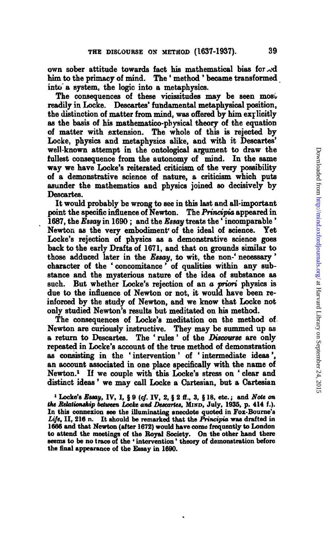own sober attitude towards fact his mathematical bias for ed **him to the primacy of mind. The ' method' became transformed** into a system, the logic into a metaphysics.

The consequences of these vicissitudes may be seen most **readily in Locke. Descartes' fundamental metaphysical position, the distinction of matter from mind, was offered by him explicitly as the basis of his mathematico-physical theory of the equation of matter with .extension. The whole of this is rejected by Locke, physics and metaphysics alike, and with it Descartes' well-known attempt in the ontological argument to draw the fullest consequence from the autonomy of mind. In the same way we have Locke's reiterated criticism of the very possibility of a demonstrative science of nature, a criticism which puts asunder the mathematics and physics joined so decisively by Descartes.**

**It would probably be wrong to see in this last and all-important point the specific influence of Newton. The** *Principia* **appeared in 1687, the** *Essay* **in 1690; and the** *Essay* **treats the' incomparable' Newton as the very embodiment' of the ideal of science. Yet Locke's rejection of physics as a demonstrative science goes back to the early Drafts of 1671, and that on grounds similar to those adduced later in the** *Essay,* **to wit, the non-' necessary' character of the ' concomitance' of qualities within any substance and the mysterious nature of the idea of substance as such. But whether Locke's rejection of an** *a priori* **physics is due to the influence of Newton or not, it would have been reinforced by the study of Newton, and we know that Locke not only studied Newton's results but meditated on his method.**

**The consequences of Locke's meditation on the method of Newton are curiously instructive. They may be summed up as a return to Descartes. The ' rules ' of the** *Discourse* **are only repeated in Locke's account of the true method of demonstration as consisting in the ' intervention' of ' intermediate ideas', an account associated in one place specifically with the name of Newton.<sup>1</sup> If we couple with this Locke's stress on ' clear and distinct ideas' we may call Locke a Cartesian, but a Cartesian**

**1 Locke's** *Essay,* **IV, I, § 9** *(ef.* **IV, 2, § 2 ff., 3, § 18, etc.; and** *Note on the Relationship between Locke and Descartes,* **MIND, July, 1935, p. 414 f.). In this connexion see the illuminating anecdote quoted in Fox-Bourne's** *Life,* **II, 216 n. It should be remarked that the** *Principia* **was drafted in 1666 and that Newton (after 1672) would have come frequently to London to attend the meetings of the Royal Society. On the other hand there seems to be no trace of the ' intervention' theory of demonstration before the final appearance of the Essay in 1690.**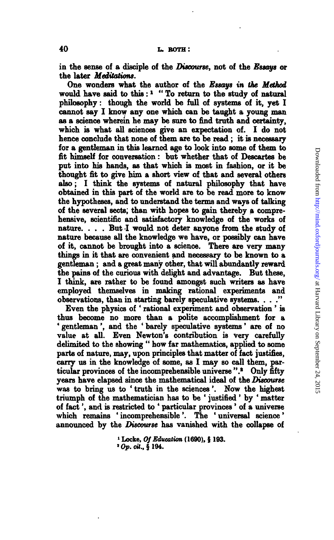**in the sense of a disciple of the** *Discourse,* **not of the** *Essays* **or the later** *Meditations.*

**One wonders what the author of the** *Essays in the Method* **would have said to this: <sup>1</sup> "To return to the study of natural philosophy: though the world be full of systems of it, yet I cannot say I know any one which can be taught a young man as a science wherein he may be sure to find truth and certainty, which is what all sciences give an expectation of. I do not hence conclude that none of them are to be read; it is necessary for a gentleman in this learned age to look into some of them to fit himself for conversation : but whether that of Descartes be put into his hands, as that which is most in fashion, or it be thought fit to give him a short view of that and several others also; I think the systems of natural philosophy that have obtained in this part of the world are to be read more to know the hypotheses, and to understand the terms and ways of talking of the several sects; than with hopes to gain thereby a comprehensive, scientific and satisfactory knowledge of the works of nature. . . . But I would not deter anyone from the study of nature because all the knowledge we have, or possibly can have of it, cannot be brought into a science. There are very many things in it that are convenient and necessary to be known to a gentleman ; and a great many other, that will abundantly reward the pains of the curious with delight and advantage. But these, I think, are rather to be found amongst such writers as have employed themselves in making rational experiments and observations, than in starting barely speculative systems. . . ."**

**Even the physics of ' rational experiment and observation ' is thus become no more than a polite accomplishment for a ' gentleman', and the ' barely speculative systems' are of no value at all. Even Newton's contribution is very carefully delimited to the showing " how far mathematics, applied to some parts of nature, may, upon principles that matter of fact justifies, carry us in the knowledge of some, as I may so call them, particular provinces of the incomprehensible universe ".\* Only fifty years have elapsed since the mathematical ideal of the** *Discourse* **was to bring us to ' truth in the sciences'. Now the highest triumph of the mathematician has to be ' justified ' by ' matter of fact', and is restricted to ' particular provinces ' of a universe which remains ' incomprehensible '. The ' universal science' announced by the** *Discourse* **has vanished with the collapse of**

> **1 Locke,** *Of Education* **(1690), § 193. 1**  *Op. tit.,* **§ 104.**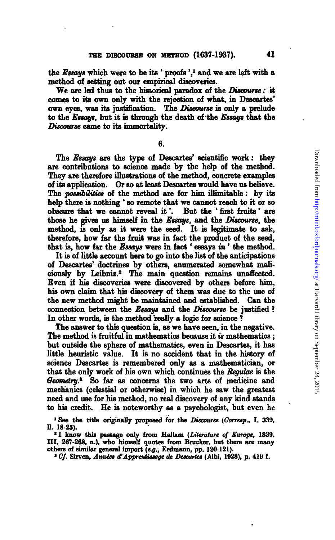the *Essays* which were to be its ' proofs',<sup>1</sup> and we are left with a **method of setting out our empirical discoveries.**

**We are led thus to the historical paradox of the** *Discourse:* **it comes to its own only with the rejection of what, in Descartes' own eyes, was its justification. The** *Discourse* **is only a prelude to the** *Essays,* **but it is through the death of the** *Essays* **that the** *Discourse* **came to its immortality.**

**6.**

**The** *Essays* **are the type of Descartes' scientific work: they are contributions to science made by the help of the method. They are therefore illustrations of the method, concrete examples of its application. Or so at least Descartes would have us believe. The** *possibilities* **of the method are for him illimitable: by its help there is nothing ' so remote that we cannot reach to it or so** obscure that we cannot reveal it'. **those he gives us himself in the** *Essays,* **and the** *Discourse,* **the method, is only as it were the seed. It is legitimate to ask, therefore, how far the fruit was in fact the product of the seed, that is, how far the** *Essays* **were in fact' essays in ' the method.**

**It is of little account here to go into the list of the anticipations of Descartes' doctrines by others, enumerated somewhat maliciously by Leibniz.<sup>2</sup> The main question remains unaffected. Even if his discoveries were discovered by others before him, his own claim that his discovery of them was due to the use of the new method might be maintained and established. Can the connection between the** *Essays* **and the** *Discourse* **be justified ? In other words, is the method really a logic for science ?**

**The answer to this question is, as we have seen, in the negative. The method is fruitful in mathematics because it** *is* **mathematics ; but outside the sphere of mathematics, even in Descartes, it has little heuristic value. It is no accident that in the history of science Descartes is remembered only as a mathematician, or that the only work of his own which continues the** *Regulae* **is the** *Geometry.\** **So far as concerns the two arts of medicine and mechanics (celestial or otherwise) in which he saw the greatest need and use for his method, no real discovery of any kind stands to his credit. He is noteworthy as a psychologist, but even he**

**1 See the title originally proposed for the** *Discourse (Corresp.,* **I, 339, II. 18-26).**

**> I know this passage only from Hallam** *(Literature of Europe,* **1839, III, 267-268, n.), who himself quotes from Brucker, but there are many others of similar general import** *(e.g.;* **Erdmann, pp. 120-121).**

**»** *Cf.* **Sirven.** *Annies cCApprentissage de Descartes* **(Albi, 1928), p. 419 f.**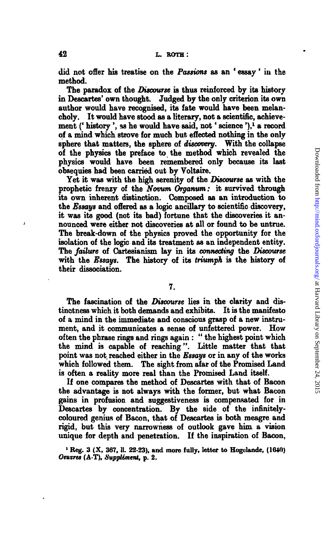**did not offer his treatise on the** *Passions* **as an ' essay' in the method.**

**The paradox of the** *Discourse* **is thus reinforced by its history in Descartes' own thought. Judged by the only criterion its own author would have recognised, its fate would have been melancholy. It would have stood as a literary, not a scientific, achievement (' history', as he would have said, not' science '),<sup>x</sup> a record of a mind which strove for much but effected nothing in the only sphere that matters, the sphere of** *discovery.* **With the collapse of the physics the preface to the method which revealed the physics would have been remembered only because its last obsequies had been carried out by Voltaire.**

**Yet it was with the high serenity of the** *Discourse* **as with the prophetic frenzy of the** *Novum Organum:* **it survived through its own inherent distinction. Composed as an introduction to the** *Essays* **and offered as a logic ancillary to scientific discovery, it was its good (not its bad) fortune that the discoveries it announced were either not discoveries at all or found to be untrue. The break-down of the physics proved the opportunity for the isolation of the logic and its treatment as an independent entity. The** *failure* **of Cartesianism lay in its** *connecting* **the** *Discourse* **with the** *Essays.* **The history of its** *triumph* **is the history of their dissociation.**

**7.**

**The fascination of the** *Discourse* **lies in the clarity and distinctness which it both demands and exhibits. It is the manifesto of a mind in the immediate and conscious grasp of a new instrument, and it communicates a sense of unfettered power. How often the phrase rings and rings again : " the highest point which the mind is capable of reaching". Little matter that that point was not. reached either in the** *Essays* **or in any of the works which followed them. The sight from afar of the Promised Land is often a reality more real than the Promised Land itself.**

**If one compares the method of Descartes with that of Bacon the advantage is not always with the former, but what Bacon gains in profusion and suggestiveness is compensated for in Descartes by concentration. By the side of the infinitelycoloured genius of Bacon, that of Descartes is both meagre and rigid, but this very narrowness of outlook gave him a vision unique for depth and penetration. If the inspiration of Bacon,**

<sup>1</sup> Reg. 3 (X, 367, ll. 22-23), and more fully, letter to Hogelande, (1640) *Oeuvres* **(AT),** *Supplement,* **p. 2.**

J